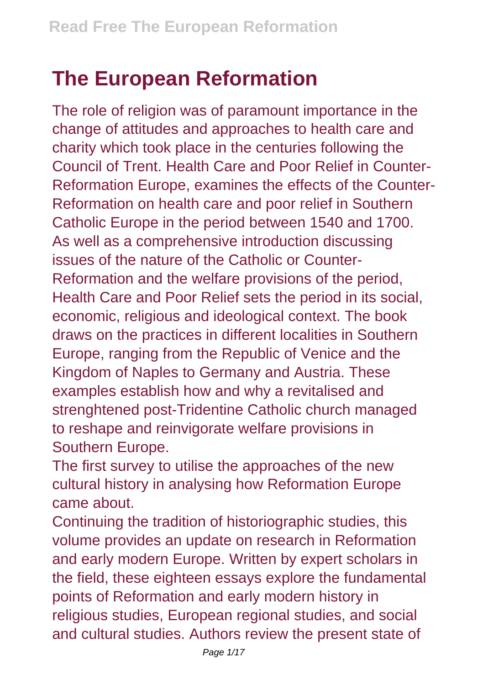## **The European Reformation**

The role of religion was of paramount importance in the change of attitudes and approaches to health care and charity which took place in the centuries following the Council of Trent. Health Care and Poor Relief in Counter-Reformation Europe, examines the effects of the Counter-Reformation on health care and poor relief in Southern Catholic Europe in the period between 1540 and 1700. As well as a comprehensive introduction discussing issues of the nature of the Catholic or Counter-Reformation and the welfare provisions of the period, Health Care and Poor Relief sets the period in its social, economic, religious and ideological context. The book draws on the practices in different localities in Southern Europe, ranging from the Republic of Venice and the Kingdom of Naples to Germany and Austria. These examples establish how and why a revitalised and strenghtened post-Tridentine Catholic church managed to reshape and reinvigorate welfare provisions in Southern Europe.

The first survey to utilise the approaches of the new cultural history in analysing how Reformation Europe came about.

Continuing the tradition of historiographic studies, this volume provides an update on research in Reformation and early modern Europe. Written by expert scholars in the field, these eighteen essays explore the fundamental points of Reformation and early modern history in religious studies, European regional studies, and social and cultural studies. Authors review the present state of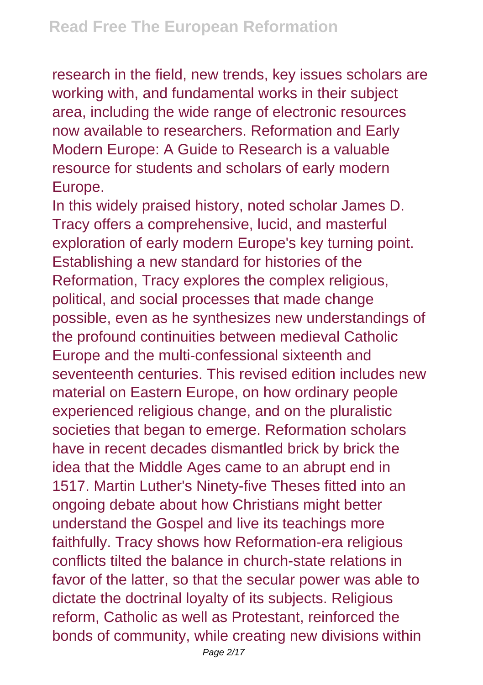research in the field, new trends, key issues scholars are working with, and fundamental works in their subject area, including the wide range of electronic resources now available to researchers. Reformation and Early Modern Europe: A Guide to Research is a valuable resource for students and scholars of early modern Europe.

In this widely praised history, noted scholar James D. Tracy offers a comprehensive, lucid, and masterful exploration of early modern Europe's key turning point. Establishing a new standard for histories of the Reformation, Tracy explores the complex religious, political, and social processes that made change possible, even as he synthesizes new understandings of the profound continuities between medieval Catholic Europe and the multi-confessional sixteenth and seventeenth centuries. This revised edition includes new material on Eastern Europe, on how ordinary people experienced religious change, and on the pluralistic societies that began to emerge. Reformation scholars have in recent decades dismantled brick by brick the idea that the Middle Ages came to an abrupt end in 1517. Martin Luther's Ninety-five Theses fitted into an ongoing debate about how Christians might better understand the Gospel and live its teachings more faithfully. Tracy shows how Reformation-era religious conflicts tilted the balance in church-state relations in favor of the latter, so that the secular power was able to dictate the doctrinal loyalty of its subjects. Religious reform, Catholic as well as Protestant, reinforced the bonds of community, while creating new divisions within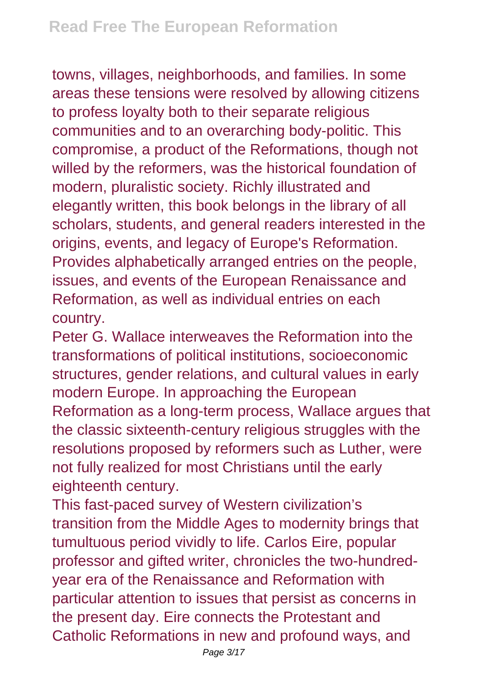towns, villages, neighborhoods, and families. In some areas these tensions were resolved by allowing citizens to profess loyalty both to their separate religious communities and to an overarching body-politic. This compromise, a product of the Reformations, though not willed by the reformers, was the historical foundation of modern, pluralistic society. Richly illustrated and elegantly written, this book belongs in the library of all scholars, students, and general readers interested in the origins, events, and legacy of Europe's Reformation. Provides alphabetically arranged entries on the people, issues, and events of the European Renaissance and Reformation, as well as individual entries on each country.

Peter G. Wallace interweaves the Reformation into the transformations of political institutions, socioeconomic structures, gender relations, and cultural values in early modern Europe. In approaching the European Reformation as a long-term process, Wallace argues that the classic sixteenth-century religious struggles with the resolutions proposed by reformers such as Luther, were not fully realized for most Christians until the early eighteenth century.

This fast-paced survey of Western civilization's transition from the Middle Ages to modernity brings that tumultuous period vividly to life. Carlos Eire, popular professor and gifted writer, chronicles the two-hundredyear era of the Renaissance and Reformation with particular attention to issues that persist as concerns in the present day. Eire connects the Protestant and Catholic Reformations in new and profound ways, and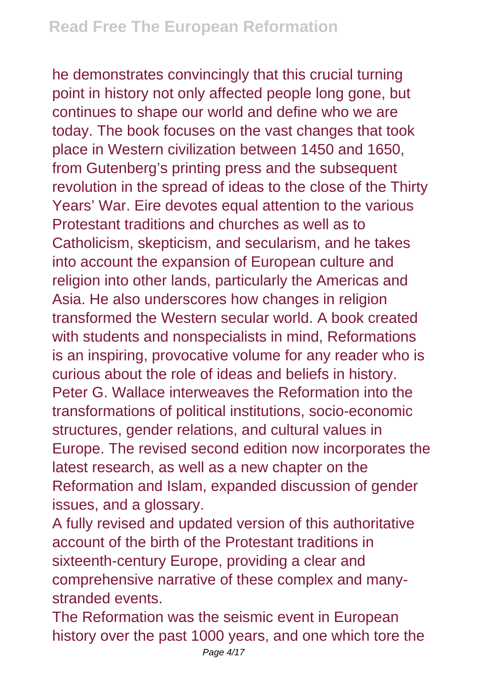he demonstrates convincingly that this crucial turning point in history not only affected people long gone, but continues to shape our world and define who we are today. The book focuses on the vast changes that took place in Western civilization between 1450 and 1650, from Gutenberg's printing press and the subsequent revolution in the spread of ideas to the close of the Thirty Years' War. Eire devotes equal attention to the various Protestant traditions and churches as well as to Catholicism, skepticism, and secularism, and he takes into account the expansion of European culture and religion into other lands, particularly the Americas and Asia. He also underscores how changes in religion transformed the Western secular world. A book created with students and nonspecialists in mind, Reformations is an inspiring, provocative volume for any reader who is curious about the role of ideas and beliefs in history. Peter G. Wallace interweaves the Reformation into the transformations of political institutions, socio-economic structures, gender relations, and cultural values in Europe. The revised second edition now incorporates the latest research, as well as a new chapter on the Reformation and Islam, expanded discussion of gender issues, and a glossary.

A fully revised and updated version of this authoritative account of the birth of the Protestant traditions in sixteenth-century Europe, providing a clear and comprehensive narrative of these complex and manystranded events.

The Reformation was the seismic event in European history over the past 1000 years, and one which tore the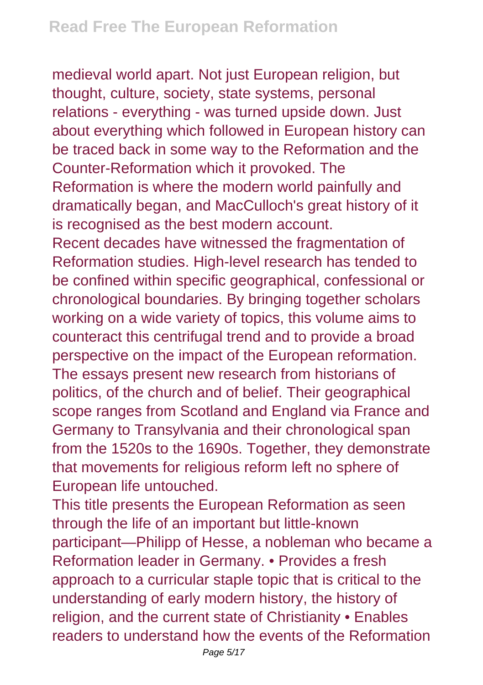medieval world apart. Not just European religion, but thought, culture, society, state systems, personal relations - everything - was turned upside down. Just about everything which followed in European history can be traced back in some way to the Reformation and the Counter-Reformation which it provoked. The Reformation is where the modern world painfully and dramatically began, and MacCulloch's great history of it is recognised as the best modern account. Recent decades have witnessed the fragmentation of Reformation studies. High-level research has tended to be confined within specific geographical, confessional or chronological boundaries. By bringing together scholars working on a wide variety of topics, this volume aims to counteract this centrifugal trend and to provide a broad perspective on the impact of the European reformation. The essays present new research from historians of politics, of the church and of belief. Their geographical scope ranges from Scotland and England via France and Germany to Transylvania and their chronological span from the 1520s to the 1690s. Together, they demonstrate that movements for religious reform left no sphere of European life untouched.

This title presents the European Reformation as seen through the life of an important but little-known participant—Philipp of Hesse, a nobleman who became a Reformation leader in Germany. • Provides a fresh approach to a curricular staple topic that is critical to the understanding of early modern history, the history of religion, and the current state of Christianity • Enables readers to understand how the events of the Reformation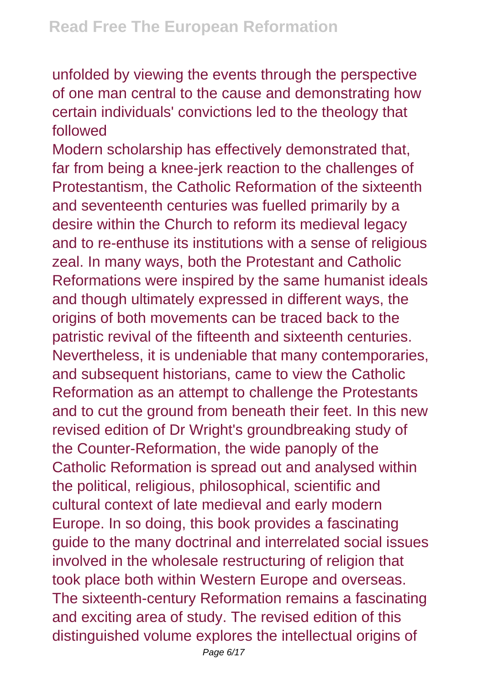unfolded by viewing the events through the perspective of one man central to the cause and demonstrating how certain individuals' convictions led to the theology that followed

Modern scholarship has effectively demonstrated that, far from being a knee-jerk reaction to the challenges of Protestantism, the Catholic Reformation of the sixteenth and seventeenth centuries was fuelled primarily by a desire within the Church to reform its medieval legacy and to re-enthuse its institutions with a sense of religious zeal. In many ways, both the Protestant and Catholic Reformations were inspired by the same humanist ideals and though ultimately expressed in different ways, the origins of both movements can be traced back to the patristic revival of the fifteenth and sixteenth centuries. Nevertheless, it is undeniable that many contemporaries, and subsequent historians, came to view the Catholic Reformation as an attempt to challenge the Protestants and to cut the ground from beneath their feet. In this new revised edition of Dr Wright's groundbreaking study of the Counter-Reformation, the wide panoply of the Catholic Reformation is spread out and analysed within the political, religious, philosophical, scientific and cultural context of late medieval and early modern Europe. In so doing, this book provides a fascinating guide to the many doctrinal and interrelated social issues involved in the wholesale restructuring of religion that took place both within Western Europe and overseas. The sixteenth-century Reformation remains a fascinating and exciting area of study. The revised edition of this distinguished volume explores the intellectual origins of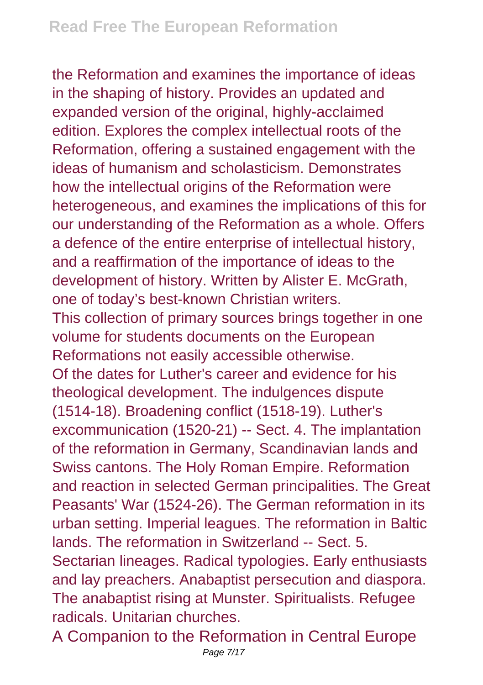the Reformation and examines the importance of ideas in the shaping of history. Provides an updated and expanded version of the original, highly-acclaimed edition. Explores the complex intellectual roots of the Reformation, offering a sustained engagement with the ideas of humanism and scholasticism. Demonstrates how the intellectual origins of the Reformation were heterogeneous, and examines the implications of this for our understanding of the Reformation as a whole. Offers a defence of the entire enterprise of intellectual history, and a reaffirmation of the importance of ideas to the development of history. Written by Alister E. McGrath, one of today's best-known Christian writers. This collection of primary sources brings together in one volume for students documents on the European Reformations not easily accessible otherwise. Of the dates for Luther's career and evidence for his theological development. The indulgences dispute (1514-18). Broadening conflict (1518-19). Luther's excommunication (1520-21) -- Sect. 4. The implantation of the reformation in Germany, Scandinavian lands and Swiss cantons. The Holy Roman Empire. Reformation and reaction in selected German principalities. The Great Peasants' War (1524-26). The German reformation in its urban setting. Imperial leagues. The reformation in Baltic lands. The reformation in Switzerland -- Sect. 5. Sectarian lineages. Radical typologies. Early enthusiasts and lay preachers. Anabaptist persecution and diaspora. The anabaptist rising at Munster. Spiritualists. Refugee radicals. Unitarian churches.

A Companion to the Reformation in Central Europe Page 7/17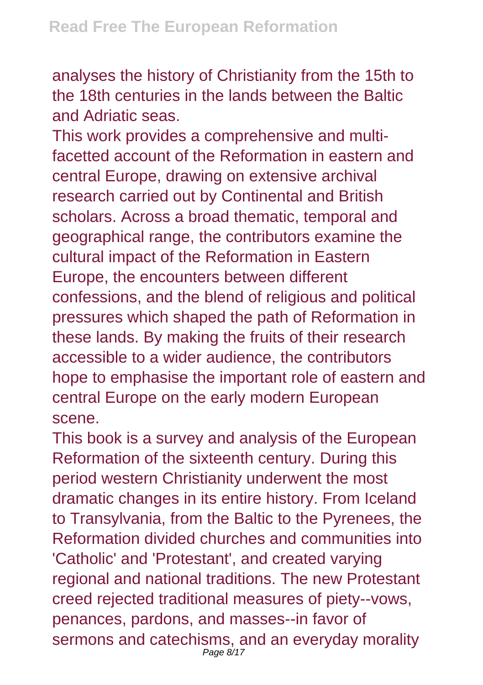analyses the history of Christianity from the 15th to the 18th centuries in the lands between the Baltic and Adriatic seas.

This work provides a comprehensive and multifacetted account of the Reformation in eastern and central Europe, drawing on extensive archival research carried out by Continental and British scholars. Across a broad thematic, temporal and geographical range, the contributors examine the cultural impact of the Reformation in Eastern Europe, the encounters between different confessions, and the blend of religious and political pressures which shaped the path of Reformation in these lands. By making the fruits of their research accessible to a wider audience, the contributors hope to emphasise the important role of eastern and central Europe on the early modern European scene.

This book is a survey and analysis of the European Reformation of the sixteenth century. During this period western Christianity underwent the most dramatic changes in its entire history. From Iceland to Transylvania, from the Baltic to the Pyrenees, the Reformation divided churches and communities into 'Catholic' and 'Protestant', and created varying regional and national traditions. The new Protestant creed rejected traditional measures of piety--vows, penances, pardons, and masses--in favor of sermons and catechisms, and an everyday morality Page 8/17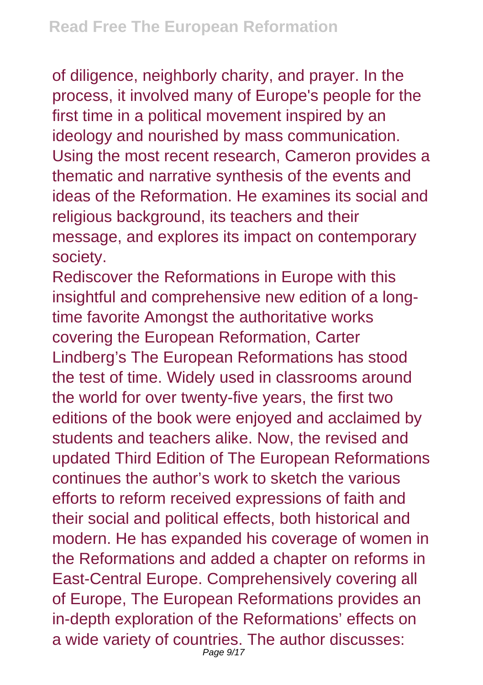of diligence, neighborly charity, and prayer. In the process, it involved many of Europe's people for the first time in a political movement inspired by an ideology and nourished by mass communication. Using the most recent research, Cameron provides a thematic and narrative synthesis of the events and ideas of the Reformation. He examines its social and religious background, its teachers and their message, and explores its impact on contemporary society.

Rediscover the Reformations in Europe with this insightful and comprehensive new edition of a longtime favorite Amongst the authoritative works covering the European Reformation, Carter Lindberg's The European Reformations has stood the test of time. Widely used in classrooms around the world for over twenty-five years, the first two editions of the book were enjoyed and acclaimed by students and teachers alike. Now, the revised and updated Third Edition of The European Reformations continues the author's work to sketch the various efforts to reform received expressions of faith and their social and political effects, both historical and modern. He has expanded his coverage of women in the Reformations and added a chapter on reforms in East-Central Europe. Comprehensively covering all of Europe, The European Reformations provides an in-depth exploration of the Reformations' effects on a wide variety of countries. The author discusses: Page 9/17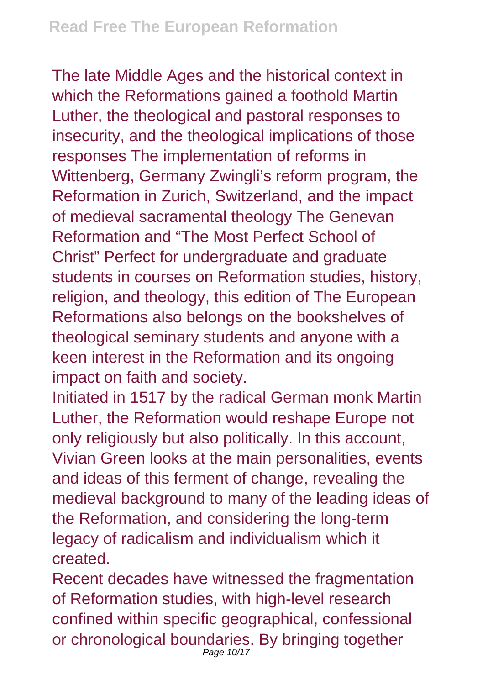The late Middle Ages and the historical context in which the Reformations gained a foothold Martin Luther, the theological and pastoral responses to insecurity, and the theological implications of those responses The implementation of reforms in Wittenberg, Germany Zwingli's reform program, the Reformation in Zurich, Switzerland, and the impact of medieval sacramental theology The Genevan Reformation and "The Most Perfect School of Christ" Perfect for undergraduate and graduate students in courses on Reformation studies, history, religion, and theology, this edition of The European Reformations also belongs on the bookshelves of theological seminary students and anyone with a keen interest in the Reformation and its ongoing impact on faith and society.

Initiated in 1517 by the radical German monk Martin Luther, the Reformation would reshape Europe not only religiously but also politically. In this account, Vivian Green looks at the main personalities, events and ideas of this ferment of change, revealing the medieval background to many of the leading ideas of the Reformation, and considering the long-term legacy of radicalism and individualism which it created.

Recent decades have witnessed the fragmentation of Reformation studies, with high-level research confined within specific geographical, confessional or chronological boundaries. By bringing together Page 10/17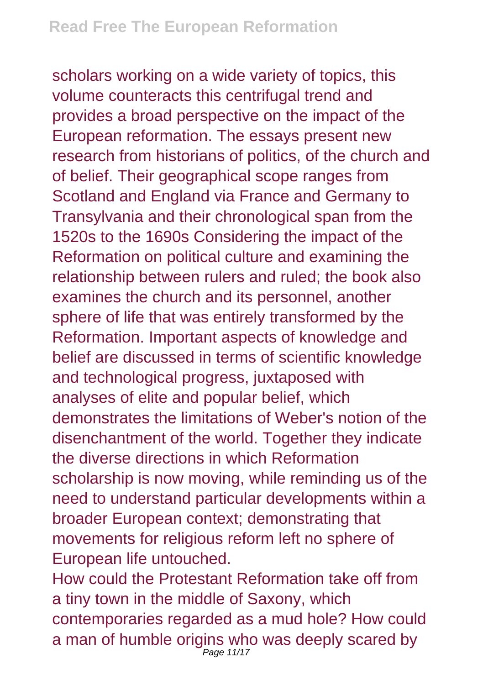scholars working on a wide variety of topics, this volume counteracts this centrifugal trend and provides a broad perspective on the impact of the European reformation. The essays present new research from historians of politics, of the church and of belief. Their geographical scope ranges from Scotland and England via France and Germany to Transylvania and their chronological span from the 1520s to the 1690s Considering the impact of the Reformation on political culture and examining the relationship between rulers and ruled; the book also examines the church and its personnel, another sphere of life that was entirely transformed by the Reformation. Important aspects of knowledge and belief are discussed in terms of scientific knowledge and technological progress, juxtaposed with analyses of elite and popular belief, which demonstrates the limitations of Weber's notion of the disenchantment of the world. Together they indicate the diverse directions in which Reformation scholarship is now moving, while reminding us of the need to understand particular developments within a broader European context; demonstrating that movements for religious reform left no sphere of European life untouched.

How could the Protestant Reformation take off from a tiny town in the middle of Saxony, which contemporaries regarded as a mud hole? How could a man of humble origins who was deeply scared by Page 11/17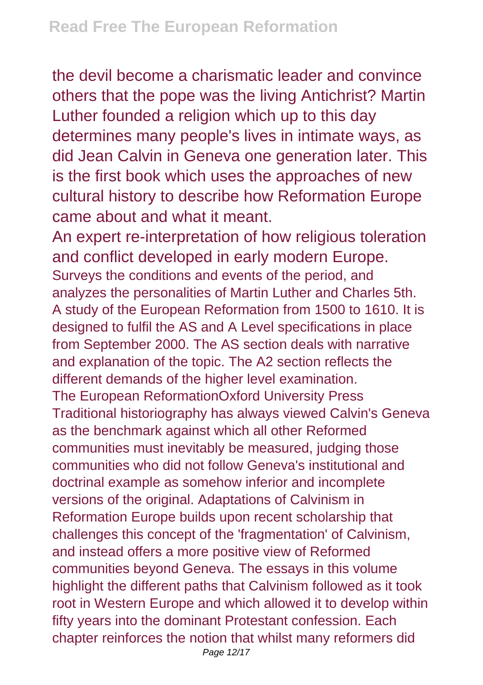the devil become a charismatic leader and convince others that the pope was the living Antichrist? Martin Luther founded a religion which up to this day determines many people's lives in intimate ways, as did Jean Calvin in Geneva one generation later. This is the first book which uses the approaches of new cultural history to describe how Reformation Europe came about and what it meant.

An expert re-interpretation of how religious toleration and conflict developed in early modern Europe. Surveys the conditions and events of the period, and analyzes the personalities of Martin Luther and Charles 5th. A study of the European Reformation from 1500 to 1610. It is designed to fulfil the AS and A Level specifications in place from September 2000. The AS section deals with narrative and explanation of the topic. The A2 section reflects the different demands of the higher level examination. The European ReformationOxford University Press Traditional historiography has always viewed Calvin's Geneva as the benchmark against which all other Reformed communities must inevitably be measured, judging those communities who did not follow Geneva's institutional and doctrinal example as somehow inferior and incomplete versions of the original. Adaptations of Calvinism in Reformation Europe builds upon recent scholarship that challenges this concept of the 'fragmentation' of Calvinism, and instead offers a more positive view of Reformed communities beyond Geneva. The essays in this volume highlight the different paths that Calvinism followed as it took root in Western Europe and which allowed it to develop within fifty years into the dominant Protestant confession. Each chapter reinforces the notion that whilst many reformers did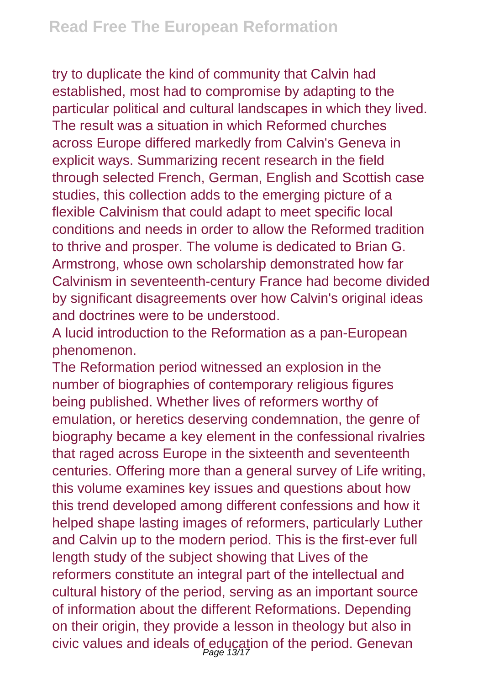try to duplicate the kind of community that Calvin had established, most had to compromise by adapting to the particular political and cultural landscapes in which they lived. The result was a situation in which Reformed churches across Europe differed markedly from Calvin's Geneva in explicit ways. Summarizing recent research in the field through selected French, German, English and Scottish case studies, this collection adds to the emerging picture of a flexible Calvinism that could adapt to meet specific local conditions and needs in order to allow the Reformed tradition to thrive and prosper. The volume is dedicated to Brian G. Armstrong, whose own scholarship demonstrated how far Calvinism in seventeenth-century France had become divided by significant disagreements over how Calvin's original ideas and doctrines were to be understood.

A lucid introduction to the Reformation as a pan-European phenomenon.

The Reformation period witnessed an explosion in the number of biographies of contemporary religious figures being published. Whether lives of reformers worthy of emulation, or heretics deserving condemnation, the genre of biography became a key element in the confessional rivalries that raged across Europe in the sixteenth and seventeenth centuries. Offering more than a general survey of Life writing, this volume examines key issues and questions about how this trend developed among different confessions and how it helped shape lasting images of reformers, particularly Luther and Calvin up to the modern period. This is the first-ever full length study of the subject showing that Lives of the reformers constitute an integral part of the intellectual and cultural history of the period, serving as an important source of information about the different Reformations. Depending on their origin, they provide a lesson in theology but also in civic values and ideals of education of the period. Genevan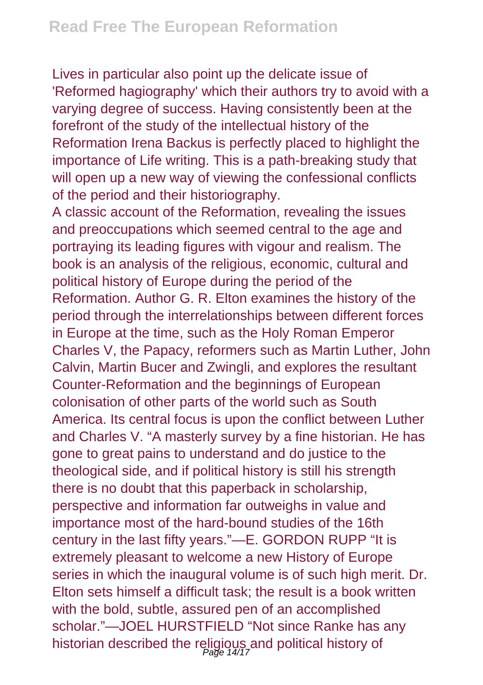Lives in particular also point up the delicate issue of 'Reformed hagiography' which their authors try to avoid with a varying degree of success. Having consistently been at the forefront of the study of the intellectual history of the Reformation Irena Backus is perfectly placed to highlight the importance of Life writing. This is a path-breaking study that will open up a new way of viewing the confessional conflicts of the period and their historiography.

A classic account of the Reformation, revealing the issues and preoccupations which seemed central to the age and portraying its leading figures with vigour and realism. The book is an analysis of the religious, economic, cultural and political history of Europe during the period of the Reformation. Author G. R. Elton examines the history of the period through the interrelationships between different forces in Europe at the time, such as the Holy Roman Emperor Charles V, the Papacy, reformers such as Martin Luther, John Calvin, Martin Bucer and Zwingli, and explores the resultant Counter-Reformation and the beginnings of European colonisation of other parts of the world such as South America. Its central focus is upon the conflict between Luther and Charles V. "A masterly survey by a fine historian. He has gone to great pains to understand and do justice to the theological side, and if political history is still his strength there is no doubt that this paperback in scholarship, perspective and information far outweighs in value and importance most of the hard-bound studies of the 16th century in the last fifty years."—E. GORDON RUPP "It is extremely pleasant to welcome a new History of Europe series in which the inaugural volume is of such high merit. Dr. Elton sets himself a difficult task; the result is a book written with the bold, subtle, assured pen of an accomplished scholar."—JOEL HURSTFIELD "Not since Ranke has any historian described the religious and political history of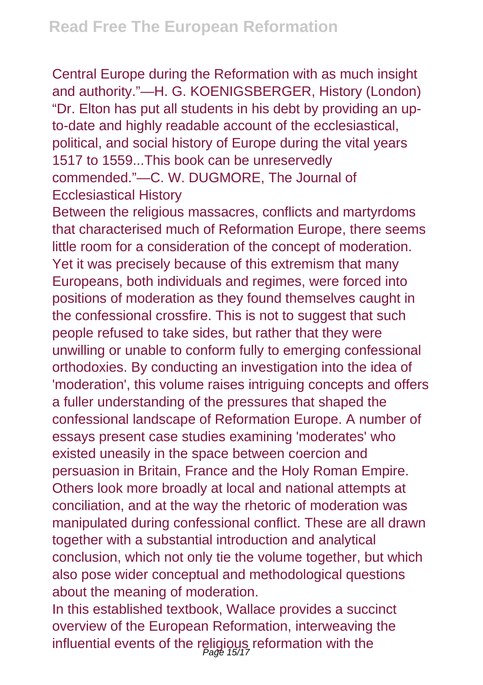Central Europe during the Reformation with as much insight and authority."—H. G. KOENIGSBERGER, History (London) "Dr. Elton has put all students in his debt by providing an upto-date and highly readable account of the ecclesiastical, political, and social history of Europe during the vital years 1517 to 1559...This book can be unreservedly commended."—C. W. DUGMORE, The Journal of Ecclesiastical History

Between the religious massacres, conflicts and martyrdoms that characterised much of Reformation Europe, there seems little room for a consideration of the concept of moderation. Yet it was precisely because of this extremism that many Europeans, both individuals and regimes, were forced into positions of moderation as they found themselves caught in the confessional crossfire. This is not to suggest that such people refused to take sides, but rather that they were unwilling or unable to conform fully to emerging confessional orthodoxies. By conducting an investigation into the idea of 'moderation', this volume raises intriguing concepts and offers a fuller understanding of the pressures that shaped the confessional landscape of Reformation Europe. A number of essays present case studies examining 'moderates' who existed uneasily in the space between coercion and persuasion in Britain, France and the Holy Roman Empire. Others look more broadly at local and national attempts at conciliation, and at the way the rhetoric of moderation was manipulated during confessional conflict. These are all drawn together with a substantial introduction and analytical conclusion, which not only tie the volume together, but which also pose wider conceptual and methodological questions about the meaning of moderation.

In this established textbook, Wallace provides a succinct overview of the European Reformation, interweaving the influential events of the religious reformation with the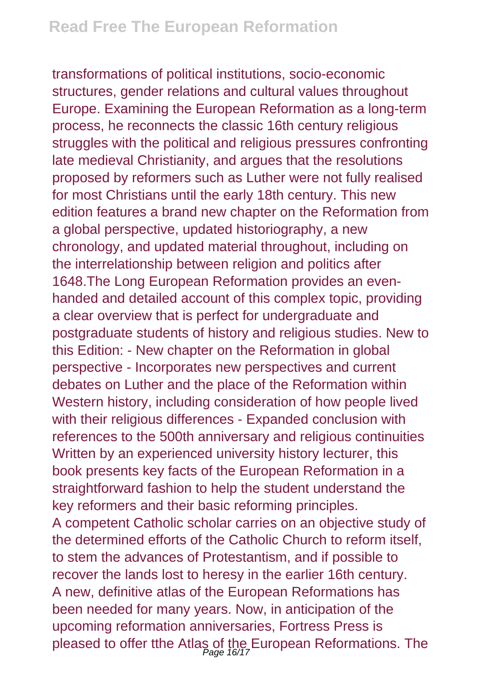transformations of political institutions, socio-economic structures, gender relations and cultural values throughout Europe. Examining the European Reformation as a long-term process, he reconnects the classic 16th century religious struggles with the political and religious pressures confronting late medieval Christianity, and argues that the resolutions proposed by reformers such as Luther were not fully realised for most Christians until the early 18th century. This new edition features a brand new chapter on the Reformation from a global perspective, updated historiography, a new chronology, and updated material throughout, including on the interrelationship between religion and politics after 1648.The Long European Reformation provides an evenhanded and detailed account of this complex topic, providing a clear overview that is perfect for undergraduate and postgraduate students of history and religious studies. New to this Edition: - New chapter on the Reformation in global perspective - Incorporates new perspectives and current debates on Luther and the place of the Reformation within Western history, including consideration of how people lived with their religious differences - Expanded conclusion with references to the 500th anniversary and religious continuities Written by an experienced university history lecturer, this book presents key facts of the European Reformation in a straightforward fashion to help the student understand the key reformers and their basic reforming principles. A competent Catholic scholar carries on an objective study of the determined efforts of the Catholic Church to reform itself, to stem the advances of Protestantism, and if possible to recover the lands lost to heresy in the earlier 16th century. A new, definitive atlas of the European Reformations has been needed for many years. Now, in anticipation of the upcoming reformation anniversaries, Fortress Press is pleased to offer tthe Atlas of the European Reformations. The